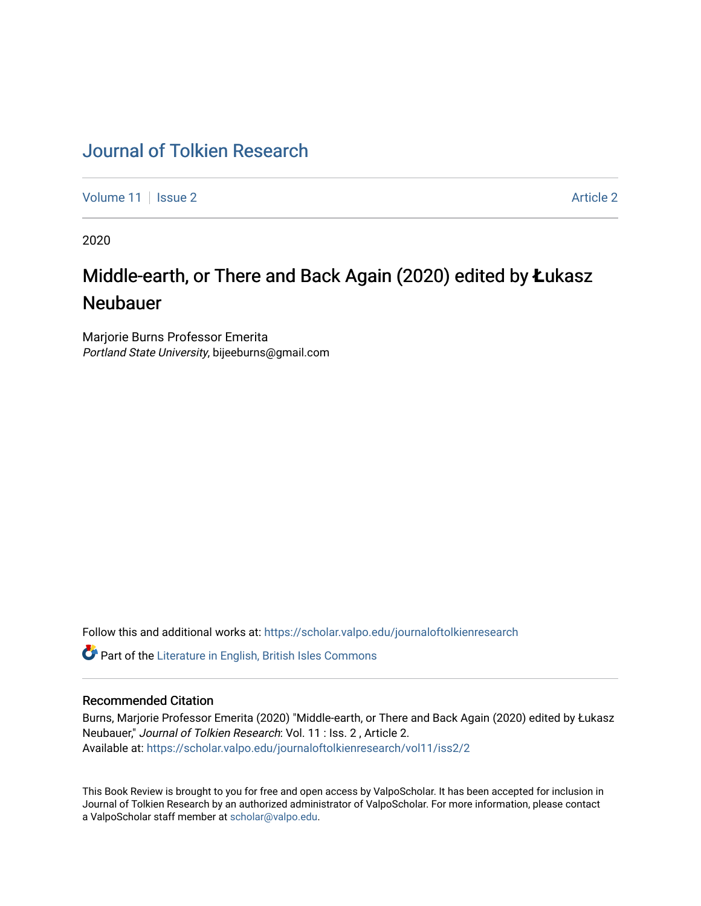## [Journal of Tolkien Research](https://scholar.valpo.edu/journaloftolkienresearch)

[Volume 11](https://scholar.valpo.edu/journaloftolkienresearch/vol11) | [Issue 2](https://scholar.valpo.edu/journaloftolkienresearch/vol11/iss2) Article 2

2020

## Middle-earth, or There and Back Again (2020) edited by Łukasz Neubauer

Marjorie Burns Professor Emerita Portland State University, bijeeburns@gmail.com

Follow this and additional works at: [https://scholar.valpo.edu/journaloftolkienresearch](https://scholar.valpo.edu/journaloftolkienresearch?utm_source=scholar.valpo.edu%2Fjournaloftolkienresearch%2Fvol11%2Fiss2%2F2&utm_medium=PDF&utm_campaign=PDFCoverPages) 

**C** Part of the [Literature in English, British Isles Commons](http://network.bepress.com/hgg/discipline/456?utm_source=scholar.valpo.edu%2Fjournaloftolkienresearch%2Fvol11%2Fiss2%2F2&utm_medium=PDF&utm_campaign=PDFCoverPages)

## Recommended Citation

Burns, Marjorie Professor Emerita (2020) "Middle-earth, or There and Back Again (2020) edited by Łukasz Neubauer," Journal of Tolkien Research: Vol. 11 : Iss. 2 , Article 2. Available at: [https://scholar.valpo.edu/journaloftolkienresearch/vol11/iss2/2](https://scholar.valpo.edu/journaloftolkienresearch/vol11/iss2/2?utm_source=scholar.valpo.edu%2Fjournaloftolkienresearch%2Fvol11%2Fiss2%2F2&utm_medium=PDF&utm_campaign=PDFCoverPages) 

This Book Review is brought to you for free and open access by ValpoScholar. It has been accepted for inclusion in Journal of Tolkien Research by an authorized administrator of ValpoScholar. For more information, please contact a ValpoScholar staff member at [scholar@valpo.edu](mailto:scholar@valpo.edu).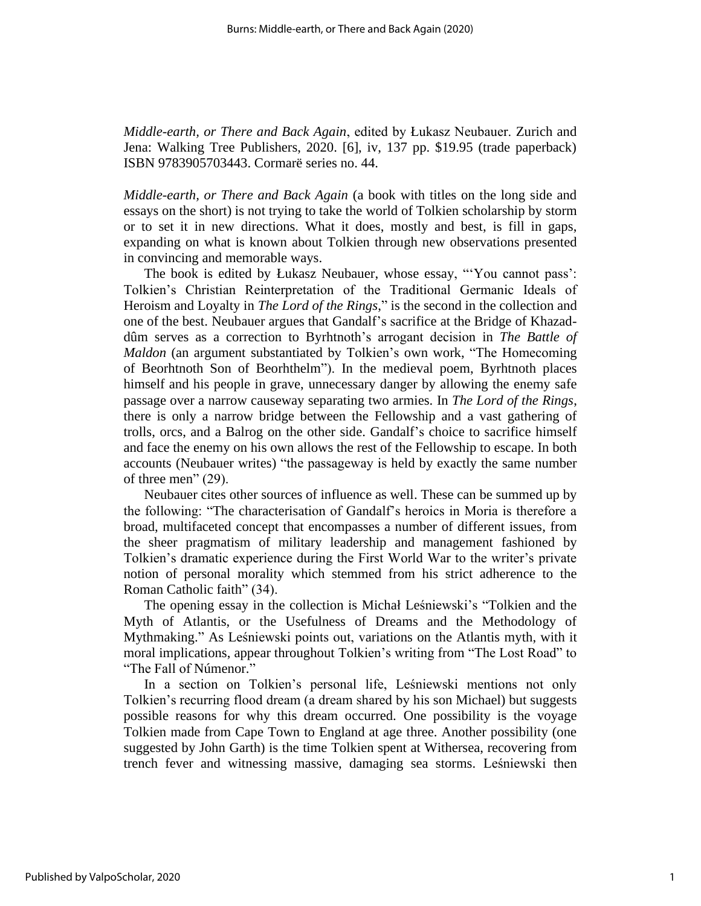*Middle-earth, or There and Back Again*, edited by Łukasz Neubauer. Zurich and Jena: Walking Tree Publishers, 2020. [6], iv, 137 pp. \$19.95 (trade paperback) ISBN 9783905703443. Cormarë series no. 44.

*Middle-earth, or There and Back Again* (a book with titles on the long side and essays on the short) is not trying to take the world of Tolkien scholarship by storm or to set it in new directions. What it does, mostly and best, is fill in gaps, expanding on what is known about Tolkien through new observations presented in convincing and memorable ways.

The book is edited by Łukasz Neubauer, whose essay, "'You cannot pass': Tolkien's Christian Reinterpretation of the Traditional Germanic Ideals of Heroism and Loyalty in *The Lord of the Rings*," is the second in the collection and one of the best. Neubauer argues that Gandalf's sacrifice at the Bridge of Khazaddûm serves as a correction to Byrhtnoth's arrogant decision in *The Battle of Maldon* (an argument substantiated by Tolkien's own work, "The Homecoming of Beorhtnoth Son of Beorhthelm"). In the medieval poem, Byrhtnoth places himself and his people in grave, unnecessary danger by allowing the enemy safe passage over a narrow causeway separating two armies. In *The Lord of the Rings*, there is only a narrow bridge between the Fellowship and a vast gathering of trolls, orcs, and a Balrog on the other side. Gandalf's choice to sacrifice himself and face the enemy on his own allows the rest of the Fellowship to escape. In both accounts (Neubauer writes) "the passageway is held by exactly the same number of three men" (29).

Neubauer cites other sources of influence as well. These can be summed up by the following: "The characterisation of Gandalf's heroics in Moria is therefore a broad, multifaceted concept that encompasses a number of different issues, from the sheer pragmatism of military leadership and management fashioned by Tolkien's dramatic experience during the First World War to the writer's private notion of personal morality which stemmed from his strict adherence to the Roman Catholic faith" (34).

The opening essay in the collection is Michał Leśniewski's "Tolkien and the Myth of Atlantis, or the Usefulness of Dreams and the Methodology of Mythmaking." As Leśniewski points out, variations on the Atlantis myth, with it moral implications, appear throughout Tolkien's writing from "The Lost Road" to "The Fall of Númenor."

In a section on Tolkien's personal life, Leśniewski mentions not only Tolkien's recurring flood dream (a dream shared by his son Michael) but suggests possible reasons for why this dream occurred. One possibility is the voyage Tolkien made from Cape Town to England at age three. Another possibility (one suggested by John Garth) is the time Tolkien spent at Withersea, recovering from trench fever and witnessing massive, damaging sea storms. Leśniewski then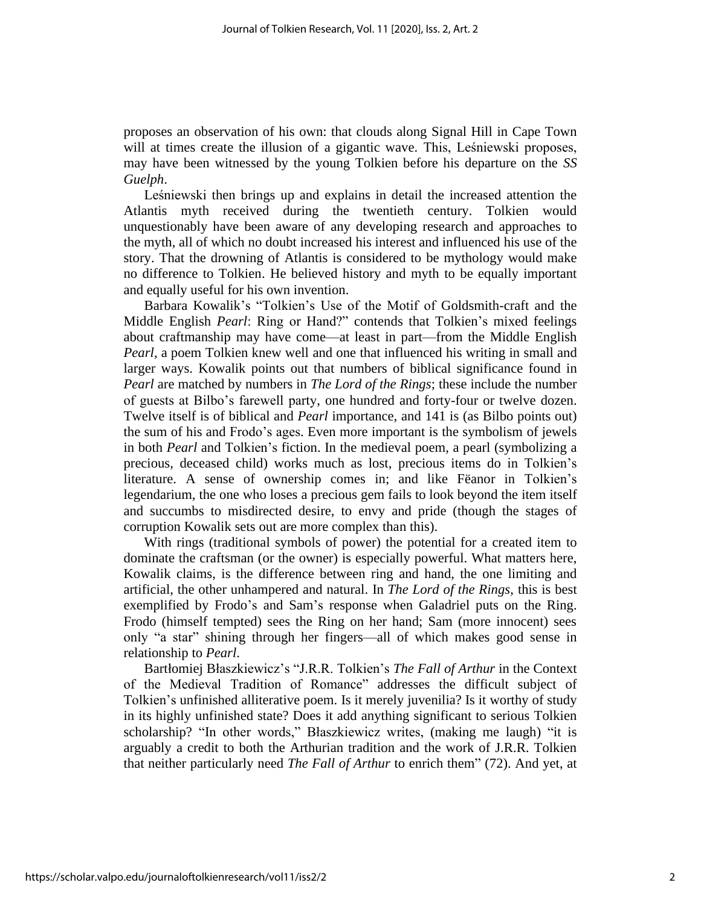proposes an observation of his own: that clouds along Signal Hill in Cape Town will at times create the illusion of a gigantic wave. This, Leśniewski proposes, may have been witnessed by the young Tolkien before his departure on the *SS Guelph*.

Leśniewski then brings up and explains in detail the increased attention the Atlantis myth received during the twentieth century. Tolkien would unquestionably have been aware of any developing research and approaches to the myth, all of which no doubt increased his interest and influenced his use of the story. That the drowning of Atlantis is considered to be mythology would make no difference to Tolkien. He believed history and myth to be equally important and equally useful for his own invention.

Barbara Kowalik's "Tolkien's Use of the Motif of Goldsmith-craft and the Middle English *Pearl*: Ring or Hand?" contends that Tolkien's mixed feelings about craftmanship may have come—at least in part—from the Middle English *Pearl*, a poem Tolkien knew well and one that influenced his writing in small and larger ways. Kowalik points out that numbers of biblical significance found in *Pearl* are matched by numbers in *The Lord of the Rings*; these include the number of guests at Bilbo's farewell party, one hundred and forty-four or twelve dozen. Twelve itself is of biblical and *Pearl* importance, and 141 is (as Bilbo points out) the sum of his and Frodo's ages. Even more important is the symbolism of jewels in both *Pearl* and Tolkien's fiction. In the medieval poem, a pearl (symbolizing a precious, deceased child) works much as lost, precious items do in Tolkien's literature. A sense of ownership comes in; and like Fëanor in Tolkien's legendarium, the one who loses a precious gem fails to look beyond the item itself and succumbs to misdirected desire, to envy and pride (though the stages of corruption Kowalik sets out are more complex than this).

With rings (traditional symbols of power) the potential for a created item to dominate the craftsman (or the owner) is especially powerful. What matters here, Kowalik claims, is the difference between ring and hand, the one limiting and artificial, the other unhampered and natural. In *The Lord of the Rings*, this is best exemplified by Frodo's and Sam's response when Galadriel puts on the Ring. Frodo (himself tempted) sees the Ring on her hand; Sam (more innocent) sees only "a star" shining through her fingers—all of which makes good sense in relationship to *Pearl*.

Bartłomiej Błaszkiewicz's "J.R.R. Tolkien's *The Fall of Arthur* in the Context of the Medieval Tradition of Romance" addresses the difficult subject of Tolkien's unfinished alliterative poem. Is it merely juvenilia? Is it worthy of study in its highly unfinished state? Does it add anything significant to serious Tolkien scholarship? "In other words," Błaszkiewicz writes, (making me laugh) "it is arguably a credit to both the Arthurian tradition and the work of J.R.R. Tolkien that neither particularly need *The Fall of Arthur* to enrich them" (72). And yet, at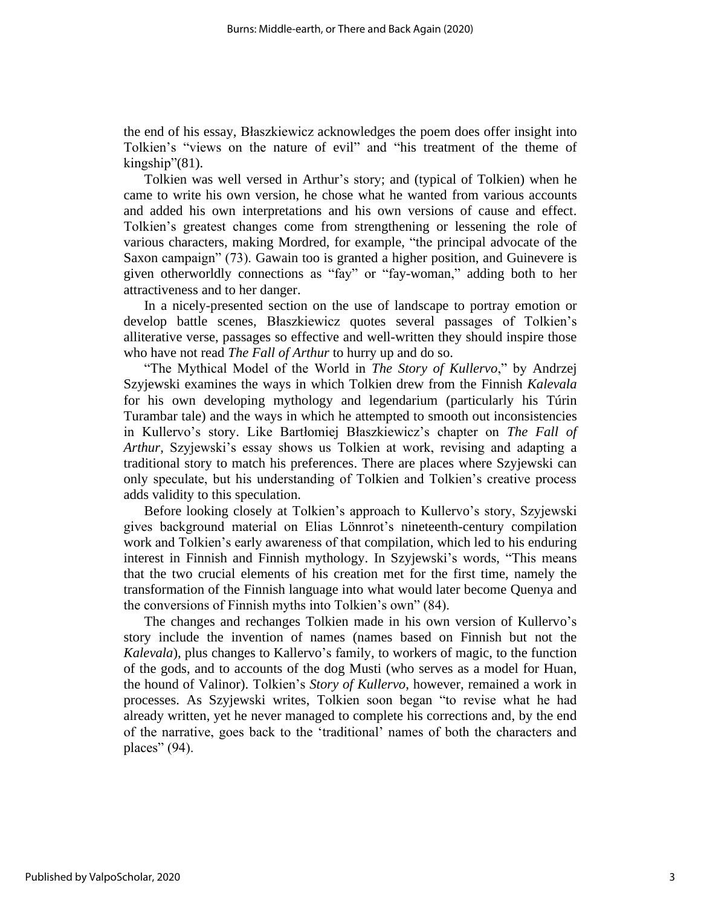the end of his essay, Błaszkiewicz acknowledges the poem does offer insight into Tolkien's "views on the nature of evil" and "his treatment of the theme of kingship"(81).

Tolkien was well versed in Arthur's story; and (typical of Tolkien) when he came to write his own version, he chose what he wanted from various accounts and added his own interpretations and his own versions of cause and effect. Tolkien's greatest changes come from strengthening or lessening the role of various characters, making Mordred, for example, "the principal advocate of the Saxon campaign" (73). Gawain too is granted a higher position, and Guinevere is given otherworldly connections as "fay" or "fay-woman," adding both to her attractiveness and to her danger.

In a nicely-presented section on the use of landscape to portray emotion or develop battle scenes, Błaszkiewicz quotes several passages of Tolkien's alliterative verse, passages so effective and well-written they should inspire those who have not read *The Fall of Arthur* to hurry up and do so.

"The Mythical Model of the World in *The Story of Kullervo*," by Andrzej Szyjewski examines the ways in which Tolkien drew from the Finnish *Kalevala*  for his own developing mythology and legendarium (particularly his Túrin Turambar tale) and the ways in which he attempted to smooth out inconsistencies in Kullervo's story. Like Bartłomiej Błaszkiewicz's chapter on *The Fall of Arthur*, Szyjewski's essay shows us Tolkien at work, revising and adapting a traditional story to match his preferences. There are places where Szyjewski can only speculate, but his understanding of Tolkien and Tolkien's creative process adds validity to this speculation.

Before looking closely at Tolkien's approach to Kullervo's story, Szyjewski gives background material on Elias Lönnrot's nineteenth-century compilation work and Tolkien's early awareness of that compilation, which led to his enduring interest in Finnish and Finnish mythology. In Szyjewski's words, "This means that the two crucial elements of his creation met for the first time, namely the transformation of the Finnish language into what would later become Quenya and the conversions of Finnish myths into Tolkien's own" (84).

The changes and rechanges Tolkien made in his own version of Kullervo's story include the invention of names (names based on Finnish but not the *Kalevala*), plus changes to Kallervo's family, to workers of magic, to the function of the gods, and to accounts of the dog Musti (who serves as a model for Huan, the hound of Valinor). Tolkien's *Story of Kullervo*, however, remained a work in processes. As Szyjewski writes, Tolkien soon began "to revise what he had already written, yet he never managed to complete his corrections and, by the end of the narrative, goes back to the 'traditional' names of both the characters and places" (94).